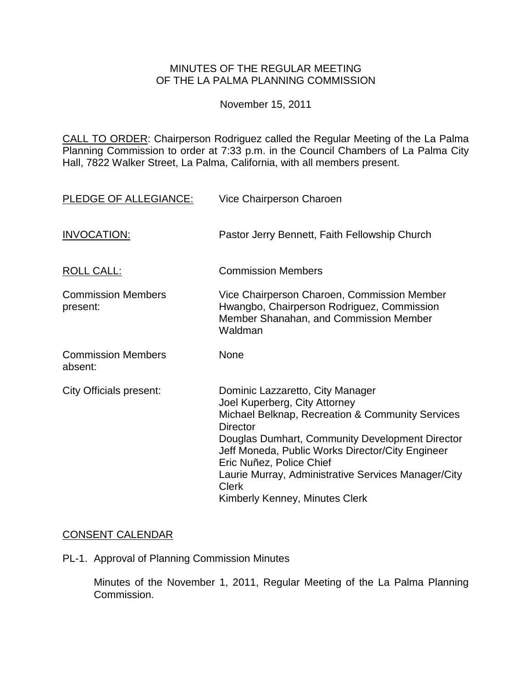## MINUTES OF THE REGULAR MEETING OF THE LA PALMA PLANNING COMMISSION

November 15, 2011

CALL TO ORDER: Chairperson [Rodriguez called the Regular Meeting of the La Palma](http://lapalma.granicus.com/MediaPlayerFrameHandler.php?view_id=&clip_id=626&meta_id=80044)  Planning Commission to order at 7:33 [p.m. in the Council Chambers of La Palma City](http://lapalma.granicus.com/MediaPlayerFrameHandler.php?view_id=&clip_id=626&meta_id=80044)  [Hall, 7822 Walker Street, La Palma, California, with](http://lapalma.granicus.com/MediaPlayerFrameHandler.php?view_id=&clip_id=626&meta_id=80044) all members present.

| PLEDGE OF ALLEGIANCE:                 | Vice Chairperson Charoen                                                                                                                                                                                                                                                                                                                                                             |
|---------------------------------------|--------------------------------------------------------------------------------------------------------------------------------------------------------------------------------------------------------------------------------------------------------------------------------------------------------------------------------------------------------------------------------------|
| <b>INVOCATION:</b>                    | Pastor Jerry Bennett, Faith Fellowship Church                                                                                                                                                                                                                                                                                                                                        |
| <b>ROLL CALL:</b>                     | <b>Commission Members</b>                                                                                                                                                                                                                                                                                                                                                            |
| <b>Commission Members</b><br>present: | Vice Chairperson Charoen, Commission Member<br>Hwangbo, Chairperson Rodriguez, Commission<br>Member Shanahan, and Commission Member<br>Waldman                                                                                                                                                                                                                                       |
| <b>Commission Members</b><br>absent:  | <b>None</b>                                                                                                                                                                                                                                                                                                                                                                          |
| <b>City Officials present:</b>        | Dominic Lazzaretto, City Manager<br>Joel Kuperberg, City Attorney<br>Michael Belknap, Recreation & Community Services<br><b>Director</b><br>Douglas Dumhart, Community Development Director<br>Jeff Moneda, Public Works Director/City Engineer<br>Eric Nuñez, Police Chief<br>Laurie Murray, Administrative Services Manager/City<br><b>Clerk</b><br>Kimberly Kenney, Minutes Clerk |

# [CONSENT CALENDAR](http://lapalma.granicus.com/MediaPlayerFrameHandler.php?view_id=&clip_id=626&meta_id=80085)

PL-1. Approval of Planning Commission Minutes

Minutes of the November 1, 2011, Regular Meeting of the La Palma Planning Commission.